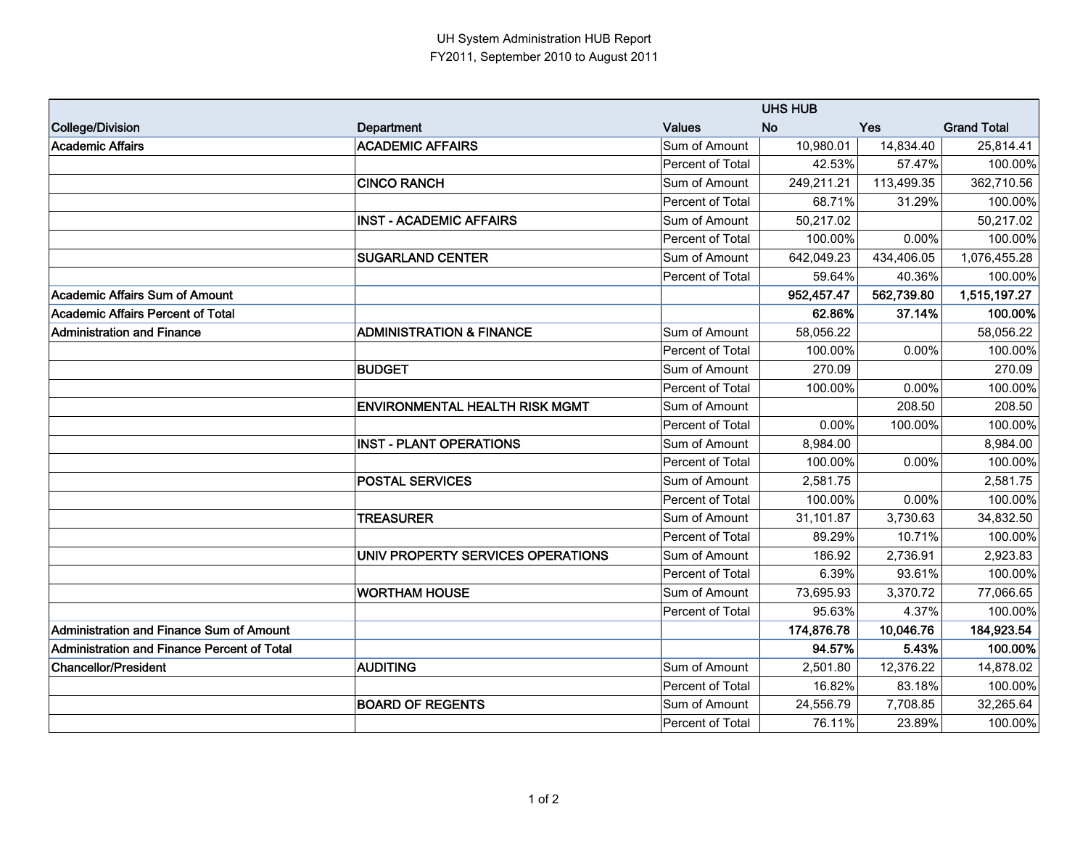|                                             |                                       | <b>UHS HUB</b>   |            |            |                    |
|---------------------------------------------|---------------------------------------|------------------|------------|------------|--------------------|
| College/Division                            | Department                            | <b>Values</b>    | <b>No</b>  | <b>Yes</b> | <b>Grand Total</b> |
| Academic Affairs                            | <b>ACADEMIC AFFAIRS</b>               | Sum of Amount    | 10,980.01  | 14,834.40  | 25,814.41          |
|                                             |                                       | Percent of Total | 42.53%     | 57.47%     | 100.00%            |
|                                             | <b>CINCO RANCH</b>                    | Sum of Amount    | 249,211.21 | 113,499.35 | 362,710.56         |
|                                             |                                       | Percent of Total | 68.71%     | 31.29%     | 100.00%            |
|                                             | <b>INST - ACADEMIC AFFAIRS</b>        | Sum of Amount    | 50,217.02  |            | 50,217.02          |
|                                             |                                       | Percent of Total | 100.00%    | 0.00%      | 100.00%            |
|                                             | <b>SUGARLAND CENTER</b>               | Sum of Amount    | 642,049.23 | 434,406.05 | 1,076,455.28       |
|                                             |                                       | Percent of Total | 59.64%     | 40.36%     | 100.00%            |
| Academic Affairs Sum of Amount              |                                       |                  | 952,457.47 | 562,739.80 | 1,515,197.27       |
| IAcademic Affairs Percent of Total          |                                       |                  | 62.86%     | 37.14%     | 100.00%            |
| Administration and Finance                  | <b>ADMINISTRATION &amp; FINANCE</b>   | Sum of Amount    | 58,056.22  |            | 58,056.22          |
|                                             |                                       | Percent of Total | 100.00%    | 0.00%      | 100.00%            |
|                                             | <b>BUDGET</b>                         | Sum of Amount    | 270.09     |            | 270.09             |
|                                             |                                       | Percent of Total | 100.00%    | 0.00%      | 100.00%            |
|                                             | <b>ENVIRONMENTAL HEALTH RISK MGMT</b> | Sum of Amount    |            | 208.50     | 208.50             |
|                                             |                                       | Percent of Total | 0.00%      | 100.00%    | 100.00%            |
|                                             | <b>INST - PLANT OPERATIONS</b>        | Sum of Amount    | 8,984.00   |            | 8,984.00           |
|                                             |                                       | Percent of Total | 100.00%    | 0.00%      | 100.00%            |
|                                             | <b>POSTAL SERVICES</b>                | Sum of Amount    | 2,581.75   |            | 2,581.75           |
|                                             |                                       | Percent of Total | 100.00%    | 0.00%      | 100.00%            |
|                                             | <b>TREASURER</b>                      | Sum of Amount    | 31,101.87  | 3,730.63   | 34,832.50          |
|                                             |                                       | Percent of Total | 89.29%     | 10.71%     | 100.00%            |
|                                             | UNIV PROPERTY SERVICES OPERATIONS     | Sum of Amount    | 186.92     | 2,736.91   | 2,923.83           |
|                                             |                                       | Percent of Total | 6.39%      | 93.61%     | 100.00%            |
|                                             | <b>WORTHAM HOUSE</b>                  | Sum of Amount    | 73,695.93  | 3,370.72   | 77,066.65          |
|                                             |                                       | Percent of Total | 95.63%     | 4.37%      | 100.00%            |
| Administration and Finance Sum of Amount    |                                       |                  | 174,876.78 | 10,046.76  | 184,923.54         |
| Administration and Finance Percent of Total |                                       |                  | 94.57%     | 5.43%      | 100.00%            |
| <b>Chancellor/President</b>                 | <b>AUDITING</b>                       | Sum of Amount    | 2,501.80   | 12,376.22  | 14,878.02          |
|                                             |                                       | Percent of Total | 16.82%     | 83.18%     | 100.00%            |
|                                             | <b>BOARD OF REGENTS</b>               | Sum of Amount    | 24,556.79  | 7,708.85   | 32,265.64          |
|                                             |                                       | Percent of Total | 76.11%     | 23.89%     | 100.00%            |